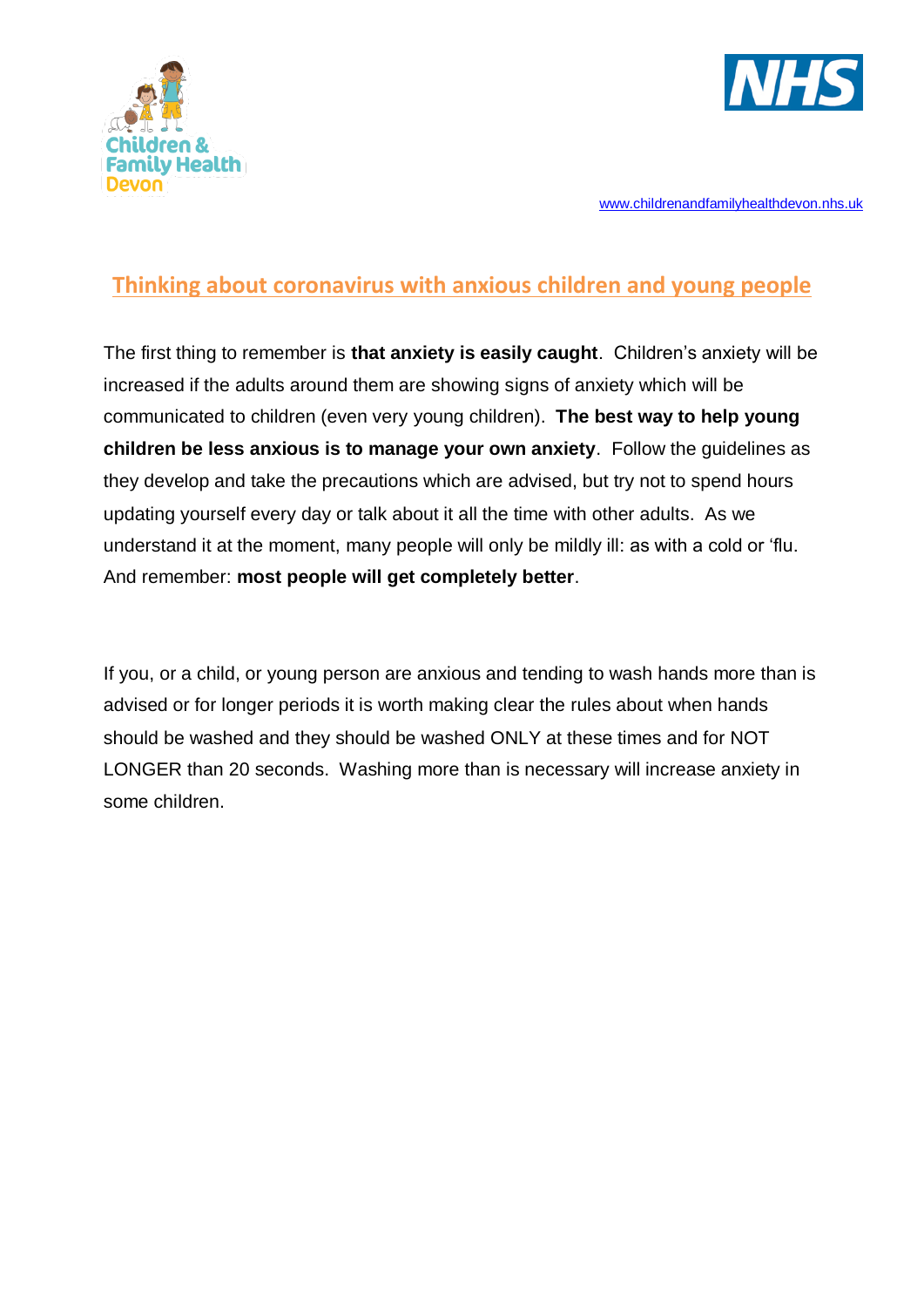



## **Thinking about coronavirus with anxious children and young people**

The first thing to remember is **that anxiety is easily caught**. Children's anxiety will be increased if the adults around them are showing signs of anxiety which will be communicated to children (even very young children). **The best way to help young children be less anxious is to manage your own anxiety**. Follow the guidelines as they develop and take the precautions which are advised, but try not to spend hours updating yourself every day or talk about it all the time with other adults. As we understand it at the moment, many people will only be mildly ill: as with a cold or 'flu. And remember: **most people will get completely better**.

If you, or a child, or young person are anxious and tending to wash hands more than is advised or for longer periods it is worth making clear the rules about when hands should be washed and they should be washed ONLY at these times and for NOT LONGER than 20 seconds. Washing more than is necessary will increase anxiety in some children.